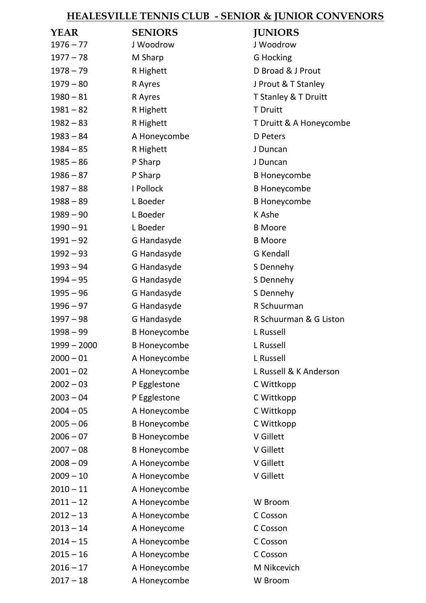## **HEALESVILLE TENNIS CLUB - SENIOR & JUNIOR CONVENORS**

| <b>YEAR</b>   | <b>SENIORS</b>      | <b>JUNIORS</b>          |
|---------------|---------------------|-------------------------|
| $1976 - 77$   | J Woodrow           | J Woodrow               |
| $1977 - 78$   | M Sharp             | G Hocking               |
| $1978 - 79$   | R Highett           | D Broad & J Prout       |
| $1979 - 80$   | R Ayres             | J Prout & T Stanley     |
| $1980 - 81$   | R Ayres             | T Stanley & T Druitt    |
| $1981 - 82$   | R Highett           | <b>T</b> Druitt         |
| $1982 - 83$   | R Highett           | T Druitt & A Honeycombe |
| $1983 - 84$   | A Honeycombe        | D Peters                |
| $1984 - 85$   | R Highett           | J Duncan                |
| $1985 - 86$   | P Sharp             | J Duncan                |
| $1986 - 87$   | P Sharp             | <b>B</b> Honeycombe     |
| $1987 - 88$   | I Pollock           | <b>B Honeycombe</b>     |
| $1988 - 89$   | L Boeder            | <b>B Honeycombe</b>     |
| $1989 - 90$   | L Boeder            | K Ashe                  |
| $1990 - 91$   | L Boeder            | <b>B</b> Moore          |
| $1991 - 92$   | G Handasyde         | <b>B</b> Moore          |
| $1992 - 93$   | G Handasyde         | <b>G</b> Kendall        |
| $1993 - 94$   | G Handasyde         | S Dennehy               |
| $1994 - 95$   | G Handasyde         | S Dennehy               |
| $1995 - 96$   | G Handasyde         | S Dennehy               |
| $1996 - 97$   | G Handasyde         | R Schuurman             |
| $1997 - 98$   | G Handasyde         | R Schuurman & G Liston  |
| $1998 - 99$   | <b>B Honeycombe</b> | L Russell               |
| $1999 - 2000$ | <b>B Honeycombe</b> | L Russell               |
| $2000 - 01$   | A Honeycombe        | L Russell               |
| $2001 - 02$   | A Honeycombe        | L Russell & K Anderson  |
| $2002 - 03$   | P Egglestone        | C Wittkopp              |
| $2003 - 04$   | P Egglestone        | C Wittkopp              |
| $2004 - 05$   | A Honeycombe        | C Wittkopp              |
| $2005 - 06$   | <b>B</b> Honeycombe | C Wittkopp              |
| $2006 - 07$   | <b>B Honeycombe</b> | V Gillett               |
| $2007 - 08$   | <b>B Honeycombe</b> | V Gillett               |
| $2008 - 09$   | A Honeycombe        | V Gillett               |
| $2009 - 10$   | A Honeycombe        | V Gillett               |
| $2010 - 11$   | A Honeycombe        |                         |
| $2011 - 12$   | A Honeycombe        | W Broom                 |
| $2012 - 13$   | A Honeycombe        | C Cosson                |
| $2013 - 14$   | A Honeycome         | C Cosson                |
| $2014 - 15$   | A Honeycombe        | C Cosson                |
| $2015 - 16$   | A Honeycombe        | C Cosson                |
| $2016 - 17$   | A Honeycombe        | M Nikcevich             |
| $2017 - 18$   | A Honeycombe        | W Broom                 |